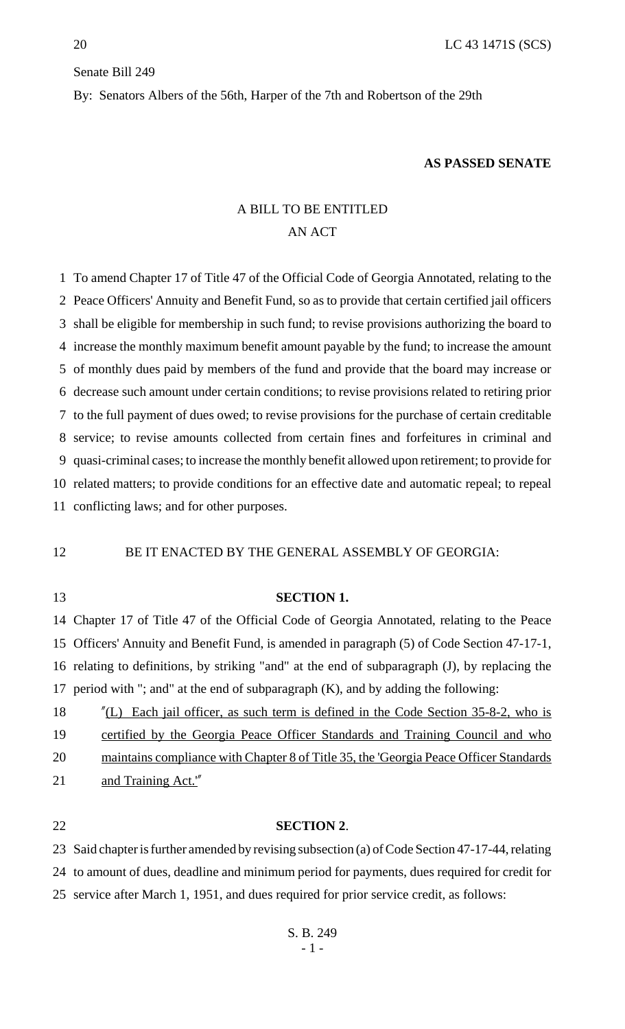#### Senate Bill 249

By: Senators Albers of the 56th, Harper of the 7th and Robertson of the 29th

#### **AS PASSED SENATE**

## A BILL TO BE ENTITLED AN ACT

 To amend Chapter 17 of Title 47 of the Official Code of Georgia Annotated, relating to the Peace Officers' Annuity and Benefit Fund, so as to provide that certain certified jail officers shall be eligible for membership in such fund; to revise provisions authorizing the board to increase the monthly maximum benefit amount payable by the fund; to increase the amount of monthly dues paid by members of the fund and provide that the board may increase or decrease such amount under certain conditions; to revise provisions related to retiring prior to the full payment of dues owed; to revise provisions for the purchase of certain creditable service; to revise amounts collected from certain fines and forfeitures in criminal and quasi-criminal cases; to increase the monthly benefit allowed upon retirement; to provide for related matters; to provide conditions for an effective date and automatic repeal; to repeal conflicting laws; and for other purposes.

### 12 BE IT ENACTED BY THE GENERAL ASSEMBLY OF GEORGIA:

#### **SECTION 1.**

 Chapter 17 of Title 47 of the Official Code of Georgia Annotated, relating to the Peace Officers' Annuity and Benefit Fund, is amended in paragraph (5) of Code Section 47-17-1, relating to definitions, by striking "and" at the end of subparagraph (J), by replacing the period with "; and" at the end of subparagraph (K), and by adding the following:

18 "(L) Each jail officer, as such term is defined in the Code Section 35-8-2, who is

19 certified by the Georgia Peace Officer Standards and Training Council and who

maintains compliance with Chapter 8 of Title 35, the 'Georgia Peace Officer Standards

and Training Act.'"

#### **SECTION 2**.

 Said chapter is further amended by revising subsection (a) of Code Section 47-17-44, relating to amount of dues, deadline and minimum period for payments, dues required for credit for service after March 1, 1951, and dues required for prior service credit, as follows: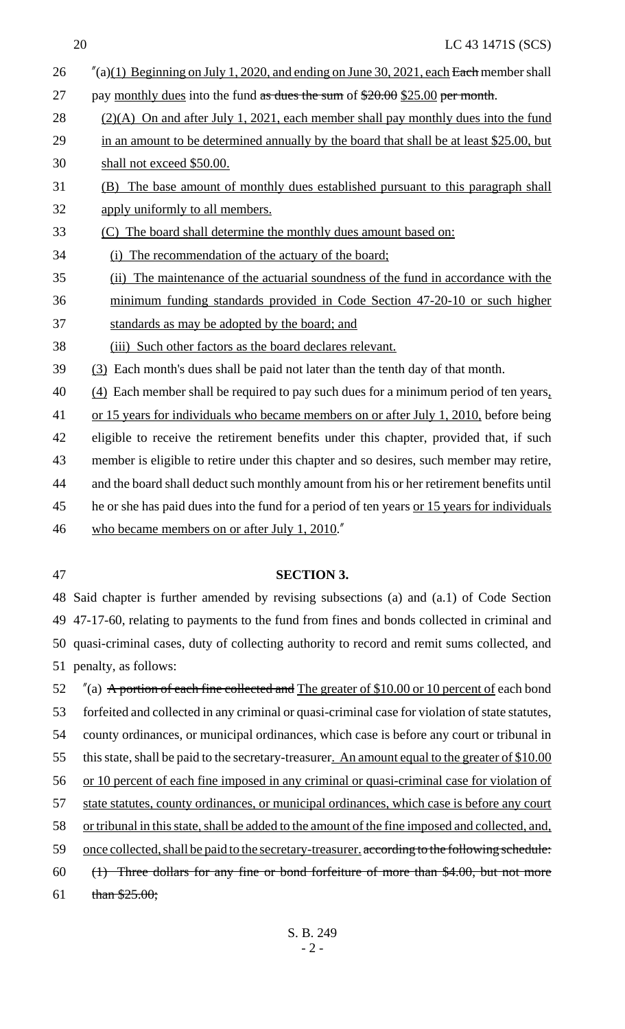| 26 | $''(a)(1)$ Beginning on July 1, 2020, and ending on June 30, 2021, each Each member shall   |
|----|---------------------------------------------------------------------------------------------|
| 27 | pay monthly dues into the fund as dues the sum of $$20.00$ \$25.00 per month.               |
| 28 | $(2)(A)$ On and after July 1, 2021, each member shall pay monthly dues into the fund        |
| 29 | in an amount to be determined annually by the board that shall be at least \$25.00, but     |
| 30 | shall not exceed \$50.00.                                                                   |
| 31 | (B) The base amount of monthly dues established pursuant to this paragraph shall            |
| 32 | apply uniformly to all members.                                                             |
| 33 | (C) The board shall determine the monthly dues amount based on:                             |
| 34 | (i) The recommendation of the actuary of the board;                                         |
| 35 | (ii) The maintenance of the actuarial soundness of the fund in accordance with the          |
| 36 | minimum funding standards provided in Code Section 47-20-10 or such higher                  |
| 37 | standards as may be adopted by the board; and                                               |
| 38 | (iii) Such other factors as the board declares relevant.                                    |
| 39 | (3) Each month's dues shall be paid not later than the tenth day of that month.             |
| 40 | $(4)$ Each member shall be required to pay such dues for a minimum period of ten years,     |
| 41 | or 15 years for individuals who became members on or after July 1, 2010, before being       |
| 42 | eligible to receive the retirement benefits under this chapter, provided that, if such      |
| 43 | member is eligible to retire under this chapter and so desires, such member may retire,     |
| 44 | and the board shall deduct such monthly amount from his or her retirement benefits until    |
| 45 | he or she has paid dues into the fund for a period of ten years or 15 years for individuals |
| 46 | who became members on or after July 1, 2010."                                               |
|    |                                                                                             |

#### **SECTION 3.**

 Said chapter is further amended by revising subsections (a) and (a.1) of Code Section 47-17-60, relating to payments to the fund from fines and bonds collected in criminal and quasi-criminal cases, duty of collecting authority to record and remit sums collected, and penalty, as follows:

52  $\%$  (a) A portion of each fine collected and The greater of \$10.00 or 10 percent of each bond forfeited and collected in any criminal or quasi-criminal case for violation of state statutes, county ordinances, or municipal ordinances, which case is before any court or tribunal in 55 this state, shall be paid to the secretary-treasurer. An amount equal to the greater of \$10.00 56 or 10 percent of each fine imposed in any criminal or quasi-criminal case for violation of 57 state statutes, county ordinances, or municipal ordinances, which case is before any court or tribunal in this state, shall be added to the amount of the fine imposed and collected, and, 59 once collected, shall be paid to the secretary-treasurer, according to the following schedule: (1) Three dollars for any fine or bond forfeiture of more than \$4.00, but not more 61 than  $$25.00;$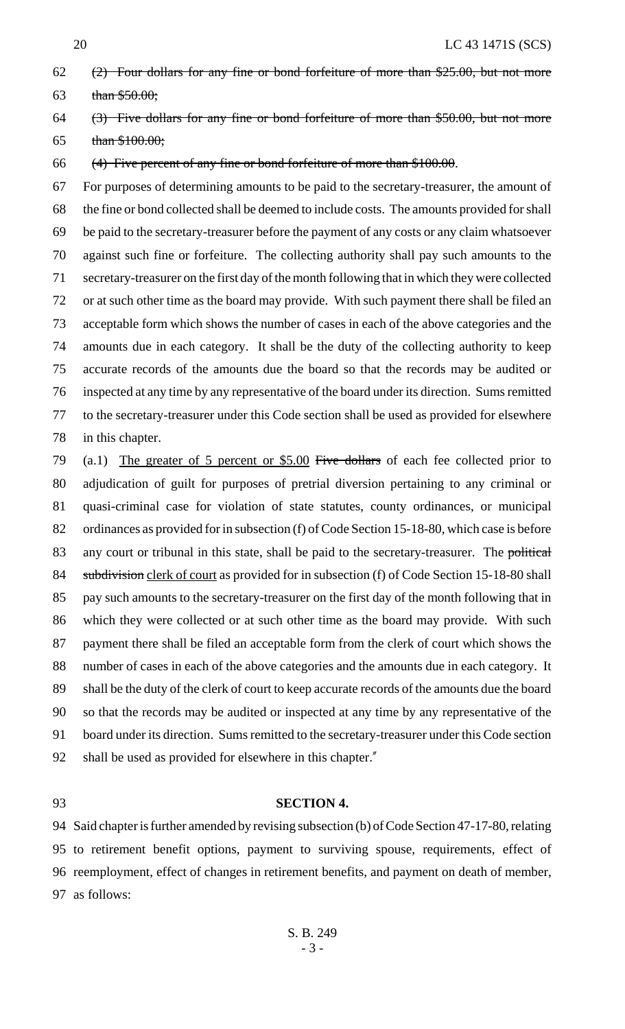# (2) Four dollars for any fine or bond forfeiture of more than \$25.00, but not more 63 than  $$50.00;$

 (3) Five dollars for any fine or bond forfeiture of more than \$50.00, but not more 65 than  $$100.00;$ 

(4) Five percent of any fine or bond forfeiture of more than \$100.00.

 For purposes of determining amounts to be paid to the secretary-treasurer, the amount of the fine or bond collected shall be deemed to include costs. The amounts provided for shall be paid to the secretary-treasurer before the payment of any costs or any claim whatsoever against such fine or forfeiture. The collecting authority shall pay such amounts to the secretary-treasurer on the first day of the month following that in which they were collected or at such other time as the board may provide. With such payment there shall be filed an acceptable form which shows the number of cases in each of the above categories and the amounts due in each category. It shall be the duty of the collecting authority to keep accurate records of the amounts due the board so that the records may be audited or inspected at any time by any representative of the board under its direction. Sums remitted to the secretary-treasurer under this Code section shall be used as provided for elsewhere in this chapter.

 (a.1) The greater of 5 percent or \$5.00 Five dollars of each fee collected prior to adjudication of guilt for purposes of pretrial diversion pertaining to any criminal or quasi-criminal case for violation of state statutes, county ordinances, or municipal 82 ordinances as provided for in subsection (f) of Code Section 15-18-80, which case is before 83 any court or tribunal in this state, shall be paid to the secretary-treasurer. The political 84 subdivision clerk of court as provided for in subsection (f) of Code Section 15-18-80 shall 85 pay such amounts to the secretary-treasurer on the first day of the month following that in which they were collected or at such other time as the board may provide. With such payment there shall be filed an acceptable form from the clerk of court which shows the number of cases in each of the above categories and the amounts due in each category. It shall be the duty of the clerk of court to keep accurate records of the amounts due the board so that the records may be audited or inspected at any time by any representative of the board under its direction. Sums remitted to the secretary-treasurer under this Code section shall be used as provided for elsewhere in this chapter."

### **SECTION 4.**

 Said chapter is further amended by revising subsection (b) of Code Section 47-17-80, relating to retirement benefit options, payment to surviving spouse, requirements, effect of reemployment, effect of changes in retirement benefits, and payment on death of member, as follows: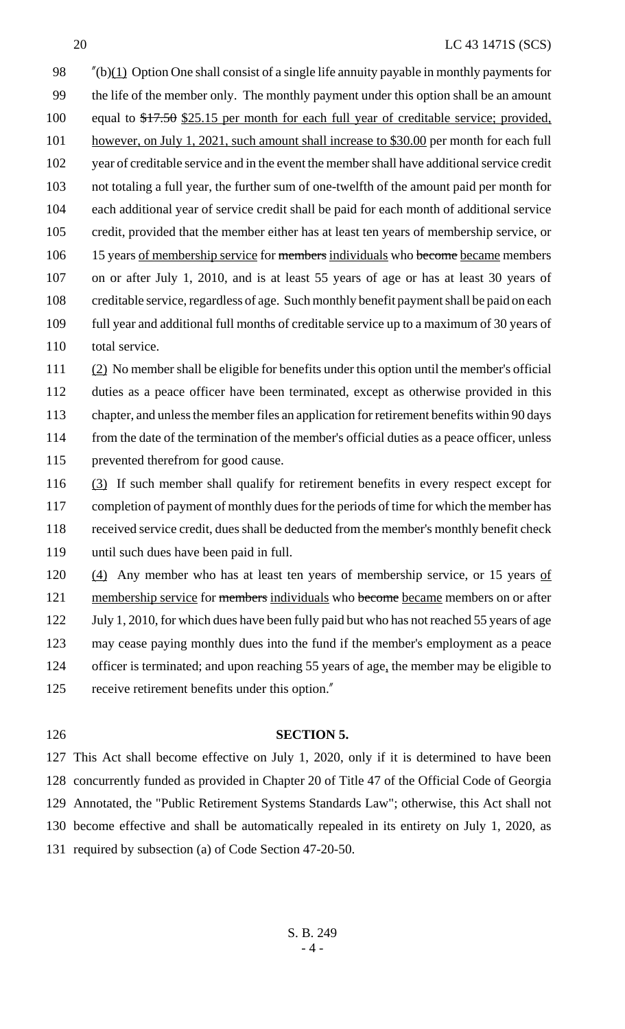#### 20 LC 43 1471S (SCS)

 $\frac{\gamma(b)(1)}{2}$  Option One shall consist of a single life annuity payable in monthly payments for the life of the member only. The monthly payment under this option shall be an amount equal to \$17.50 \$25.15 per month for each full year of creditable service; provided, 101 however, on July 1, 2021, such amount shall increase to \$30.00 per month for each full year of creditable service and in the event the member shall have additional service credit not totaling a full year, the further sum of one-twelfth of the amount paid per month for each additional year of service credit shall be paid for each month of additional service credit, provided that the member either has at least ten years of membership service, or 106 15 years of membership service for members individuals who become became members on or after July 1, 2010, and is at least 55 years of age or has at least 30 years of creditable service, regardless of age. Such monthly benefit payment shall be paid on each full year and additional full months of creditable service up to a maximum of 30 years of 110 total service.

 (2) No member shall be eligible for benefits under this option until the member's official duties as a peace officer have been terminated, except as otherwise provided in this chapter, and unless the member files an application for retirement benefits within 90 days from the date of the termination of the member's official duties as a peace officer, unless prevented therefrom for good cause.

 (3) If such member shall qualify for retirement benefits in every respect except for 117 completion of payment of monthly dues for the periods of time for which the member has received service credit, dues shall be deducted from the member's monthly benefit check until such dues have been paid in full.

120 (4) Any member who has at least ten years of membership service, or 15 years of 121 membership service for members individuals who become became members on or after 122 July 1, 2010, for which dues have been fully paid but who has not reached 55 years of age may cease paying monthly dues into the fund if the member's employment as a peace 124 officer is terminated; and upon reaching 55 years of age, the member may be eligible to receive retirement benefits under this option."

#### **SECTION 5.**

 This Act shall become effective on July 1, 2020, only if it is determined to have been concurrently funded as provided in Chapter 20 of Title 47 of the Official Code of Georgia Annotated, the "Public Retirement Systems Standards Law"; otherwise, this Act shall not become effective and shall be automatically repealed in its entirety on July 1, 2020, as required by subsection (a) of Code Section 47-20-50.